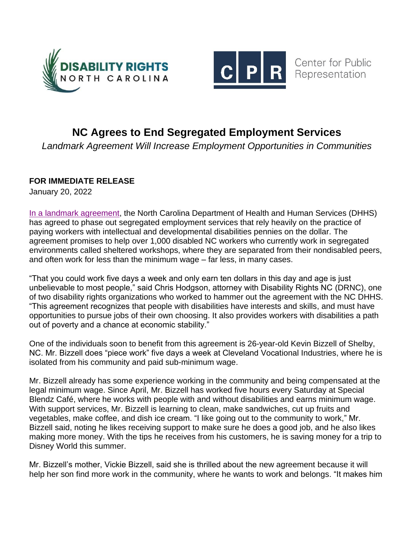



## **NC Agrees to End Segregated Employment Services**

*Landmark Agreement Will Increase Employment Opportunities in Communities*

## **FOR IMMEDIATE RELEASE**

January 20, 2022

In a [landmark agreement,](https://disabilityrightsnc.org/resources/changes-to-segregated-employment-in-nc) the North Carolina Department of Health and Human Services (DHHS) has agreed to phase out segregated employment services that rely heavily on the practice of paying workers with intellectual and developmental disabilities pennies on the dollar. The agreement promises to help over 1,000 disabled NC workers who currently work in segregated environments called sheltered workshops, where they are separated from their nondisabled peers, and often work for less than the minimum wage – far less, in many cases.

"That you could work five days a week and only earn ten dollars in this day and age is just unbelievable to most people," said Chris Hodgson, attorney with Disability Rights NC (DRNC), one of two disability rights organizations who worked to hammer out the agreement with the NC DHHS. "This agreement recognizes that people with disabilities have interests and skills, and must have opportunities to pursue jobs of their own choosing. It also provides workers with disabilities a path out of poverty and a chance at economic stability."

One of the individuals soon to benefit from this agreement is 26-year-old Kevin Bizzell of Shelby, NC. Mr. Bizzell does "piece work" five days a week at Cleveland Vocational Industries, where he is isolated from his community and paid sub-minimum wage.

Mr. Bizzell already has some experience working in the community and being compensated at the legal minimum wage. Since April, Mr. Bizzell has worked five hours every Saturday at Special Blendz Café, where he works with people with and without disabilities and earns minimum wage. With support services, Mr. Bizzell is learning to clean, make sandwiches, cut up fruits and vegetables, make coffee, and dish ice cream. "I like going out to the community to work," Mr. Bizzell said, noting he likes receiving support to make sure he does a good job, and he also likes making more money. With the tips he receives from his customers, he is saving money for a trip to Disney World this summer.

Mr. Bizzell's mother, Vickie Bizzell, said she is thrilled about the new agreement because it will help her son find more work in the community, where he wants to work and belongs. "It makes him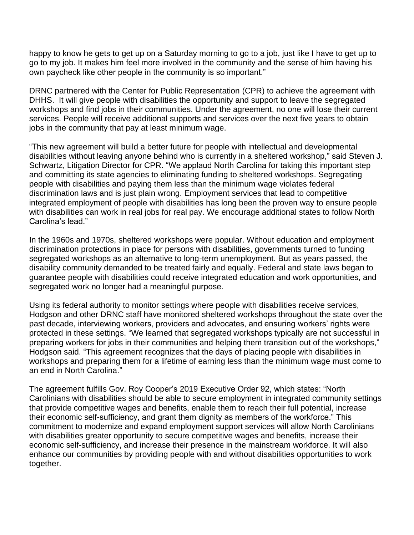happy to know he gets to get up on a Saturday morning to go to a job, just like I have to get up to go to my job. It makes him feel more involved in the community and the sense of him having his own paycheck like other people in the community is so important."

DRNC partnered with the Center for Public Representation (CPR) to achieve the agreement with DHHS. It will give people with disabilities the opportunity and support to leave the segregated workshops and find jobs in their communities. Under the agreement, no one will lose their current services. People will receive additional supports and services over the next five years to obtain jobs in the community that pay at least minimum wage.

"This new agreement will build a better future for people with intellectual and developmental disabilities without leaving anyone behind who is currently in a sheltered workshop," said Steven J. Schwartz, Litigation Director for CPR. "We applaud North Carolina for taking this important step and committing its state agencies to eliminating funding to sheltered workshops. Segregating people with disabilities and paying them less than the minimum wage violates federal discrimination laws and is just plain wrong. Employment services that lead to competitive integrated employment of people with disabilities has long been the proven way to ensure people with disabilities can work in real jobs for real pay. We encourage additional states to follow North Carolina's lead."

In the 1960s and 1970s, sheltered workshops were popular. Without education and employment discrimination protections in place for persons with disabilities, governments turned to funding segregated workshops as an alternative to long-term unemployment. But as years passed, the disability community demanded to be treated fairly and equally. Federal and state laws began to guarantee people with disabilities could receive integrated education and work opportunities, and segregated work no longer had a meaningful purpose.

Using its federal authority to monitor settings where people with disabilities receive services, Hodgson and other DRNC staff have monitored sheltered workshops throughout the state over the past decade, interviewing workers, providers and advocates, and ensuring workers' rights were protected in these settings. "We learned that segregated workshops typically are not successful in preparing workers for jobs in their communities and helping them transition out of the workshops," Hodgson said. "This agreement recognizes that the days of placing people with disabilities in workshops and preparing them for a lifetime of earning less than the minimum wage must come to an end in North Carolina."

The agreement fulfills Gov. Roy Cooper's 2019 Executive Order 92, which states: "North Carolinians with disabilities should be able to secure employment in integrated community settings that provide competitive wages and benefits, enable them to reach their full potential, increase their economic self-sufficiency, and grant them dignity as members of the workforce." This commitment to modernize and expand employment support services will allow North Carolinians with disabilities greater opportunity to secure competitive wages and benefits, increase their economic self-sufficiency, and increase their presence in the mainstream workforce. It will also enhance our communities by providing people with and without disabilities opportunities to work together.